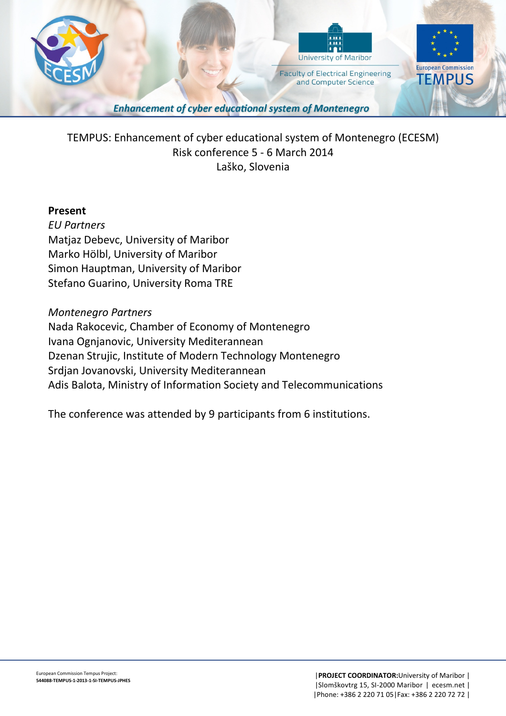

TEMPUS: Enhancement of cyber educational system of Montenegro (ECESM) Risk conference 5 - 6 March 2014 Laško, Slovenia

### **Present**

*EU Partners*  Matjaz Debevc, University of Maribor Marko Hölbl, University of Maribor Simon Hauptman, University of Maribor Stefano Guarino, University Roma TRE

### *Montenegro Partners*

Nada Rakocevic, Chamber of Economy of Montenegro Ivana Ognjanovic, University Mediterannean Dzenan Strujic, Institute of Modern Technology Montenegro Srdjan Jovanovski, University Mediterannean Adis Balota, Ministry of Information Society and Telecommunications

The conference was attended by 9 participants from 6 institutions.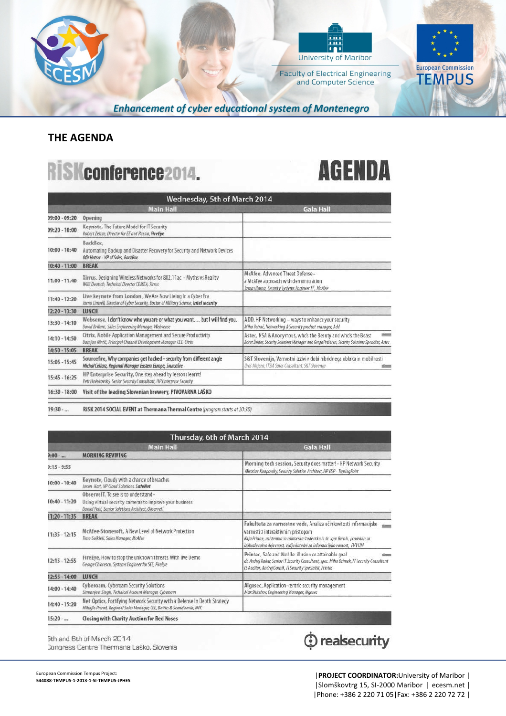



**Faculty of Electrical Engineering** and Computer Science



**Enhancement of cyber educational system of Montenegro** 

## **THE AGENDA**

### R SKconference2014.

# **AGENDA**

| Wednesday, 5th of March 2014 |                                                                                                                                                    |                                                                                                                                                                                    |
|------------------------------|----------------------------------------------------------------------------------------------------------------------------------------------------|------------------------------------------------------------------------------------------------------------------------------------------------------------------------------------|
|                              | <b>Main Hall</b>                                                                                                                                   | <b>Gala Hall</b>                                                                                                                                                                   |
| 09:00 - 09:20                | Opening                                                                                                                                            |                                                                                                                                                                                    |
| 09:20 - 10:00                | Keynote, The Future Model for IT Security<br>Robert Zeiazo, Director for EE and Russia, FireEye                                                    |                                                                                                                                                                                    |
| $10:00 - 10:40$              | BackBox.<br>Automating Backup and Disaster Recovery for Security and Network Devices<br>Ofir Hatsor - VP of Soles, BackBox                         |                                                                                                                                                                                    |
| $10:40 - 11:00$              | <b>BREAK</b>                                                                                                                                       |                                                                                                                                                                                    |
| 11:00 - 11:40                | Xirrus, Designing Wireless Networks for 802.11ac - Myths vs Reality<br>Willi Deutsch, Technical Director CEMEA, Xirrus                             | McAfee, Advanced Threat Defense -<br>a McAfee approach with demonstration<br>Tamas Barna, Security Systems Engineer EE, McMee                                                      |
| $11:40 - 12:20$              | Live keynote from London, We Are Now Living In a CyberEra<br>Jarno Limnell, Director of Cyber Security, Doctor of Military Science, Intel security |                                                                                                                                                                                    |
| 12:20 - 13:30                | <b>LUNCH</b>                                                                                                                                       |                                                                                                                                                                                    |
| 13:30 - 14:10                | Websense, I don't know who you are or what you want but I will find you.<br>David Brillant, Sales Engineering Manager, Websense                    | ADD, HP Networking - ways to enhance your security<br>Miha Petrač, Networking & Security product manager, Add                                                                      |
| 14:10 - 14:50                | Citrix, Mobile Application Management and Secure Productivity<br>Damjan Nirtič, Principal Channel Development Manager CEE, Citrix                  | Astec, NSA & Anonymous, who's the Beauty and who's the Beast<br><b>Simula</b><br>Borut Inidar, Security Solutions Manager and Grega Prešeren, Security Solutions Specialist, Astec |
| $14:50 - 15:05$              | <b>BREAK</b>                                                                                                                                       |                                                                                                                                                                                    |
| $15:05 - 15:45$              | Sourcefire, Why companies get hacked - security from different angle<br>Michał Ceidarz, Regional Manager Eastern Europe, Sourcefire                | S&T Slovenija, Varnostni izzivi v dobi hibridnega oblaka in mobilnosti<br>Uros Majcen, ITSM Sales Consultant, S&T Slovenia                                                         |
| $15:45 - 16:25$              | HP Enterprise Security, One step ahead by lessons learnt!<br>Petr Hněvkovský, Senior Security Consultant, HP Enterprise Security                   |                                                                                                                                                                                    |
| 16:30 - 18:00                | Visit of the leading Slovenian brewery, PIVOVARNA LASKO                                                                                            |                                                                                                                                                                                    |
| $19:30-$                     | RiSK 2014 SOCIAL EVENT at Thermana Thermal Centre (program starts at 20:30)                                                                        |                                                                                                                                                                                    |

| Thursday, 6th of March 2014 |                                                                                                                                                     |                                                                                                                                                                                                                                                                      |
|-----------------------------|-----------------------------------------------------------------------------------------------------------------------------------------------------|----------------------------------------------------------------------------------------------------------------------------------------------------------------------------------------------------------------------------------------------------------------------|
|                             | <b>Main Hall</b>                                                                                                                                    | <b>Gala Hall</b>                                                                                                                                                                                                                                                     |
| $9:00-$                     | <b>MORNING REVIVING</b>                                                                                                                             |                                                                                                                                                                                                                                                                      |
| $9:15 - 9:55$               |                                                                                                                                                     | Morning tech session, Security does matter! - HP Network Security<br>Miroslav Knapovsky, Security Solution Architect, HP ESP - TippingPoint                                                                                                                          |
| $10:00 - 10:40$             | Keynote, Cloudy with a chance of breaches<br>Jason Hart, VP Cloud Solutions, SafeNet                                                                |                                                                                                                                                                                                                                                                      |
|                             | ObservelT, To see is to understand -                                                                                                                |                                                                                                                                                                                                                                                                      |
| $10:40 - 11:20$             | Using virtual security cameras to improve your business<br>Daniel Petri, Senior Solutions Architect, ObservelT                                      |                                                                                                                                                                                                                                                                      |
| 11:20 - 11:35               | <b>BREAK</b>                                                                                                                                        |                                                                                                                                                                                                                                                                      |
| $11:35 - 12:15$             | McAfee-Stonesoft, A New Level of Network Protection<br>Timo Soikkeli, Sales Manager, McAfee                                                         | Fakulteta za varnostne vede, Analiza učinkovitosti informacijske<br>varnosti z interaktivnim pristopom<br>Kaja Frislan, asistentka in doktorska študentka in dr. Igor Bernik, prodekan za<br>izobraževalno dejavnost, vedja katedre za informacijsko varnost, FVV UM |
| $12:15 - 12:55$             | FireEye, How to stop the unknown threats. With live Demo-<br>George Chiorescu, Systems Engineer for SEE, FireEye                                    | Printec, Safe and Mobile: illusion or attainable goal<br>dr. Andrej Rakar, Senior IT Security Consultant, spec. Miha Ozimek, IT Security Consultant<br>IS Auditor, Andrej Gornik, IT Security Specialist, Printec.                                                   |
| 12:55 - 14:00               | LUNCH                                                                                                                                               |                                                                                                                                                                                                                                                                      |
| $14:00 - 14:40$             | Cyberoam, Cyberoam Security Solutions<br>Simranjeet Singh, Technical Account Manager, Cyberoam                                                      | Algosec, Application-centric security management<br>Max Shirshov, Engineering Manager, Algosec                                                                                                                                                                       |
| 14:40 - 15:20               | Net Optics, Fortifying Network Security with a Defense In Depth Strategy<br>Mihajlo Prerad, Regional Sales Manager, CEE, Baltics & Scandinavia, NPC |                                                                                                                                                                                                                                                                      |
| $15:20-$                    | <b>Closing with Charity Auction for Red Noses</b>                                                                                                   |                                                                                                                                                                                                                                                                      |

5th and 6th of March 2014 Congress Centre Thermana Laško, Slovenia

# Tealsecurity